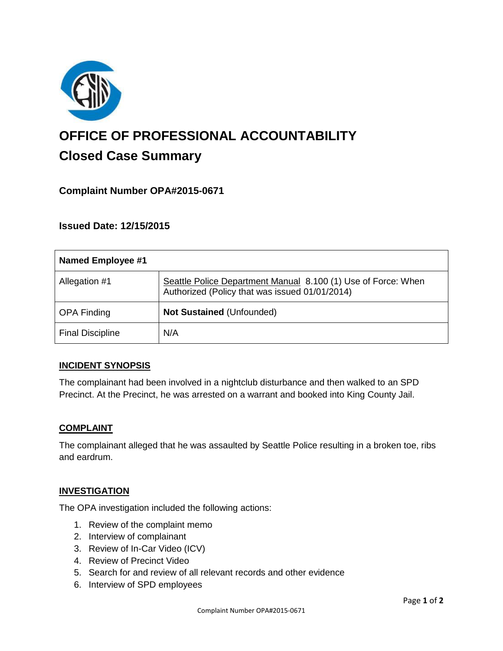

# **OFFICE OF PROFESSIONAL ACCOUNTABILITY Closed Case Summary**

# **Complaint Number OPA#2015-0671**

# **Issued Date: 12/15/2015**

| <b>Named Employee #1</b> |                                                                                                                 |
|--------------------------|-----------------------------------------------------------------------------------------------------------------|
| Allegation #1            | Seattle Police Department Manual 8.100 (1) Use of Force: When<br>Authorized (Policy that was issued 01/01/2014) |
| <b>OPA Finding</b>       | Not Sustained (Unfounded)                                                                                       |
| <b>Final Discipline</b>  | N/A                                                                                                             |

## **INCIDENT SYNOPSIS**

The complainant had been involved in a nightclub disturbance and then walked to an SPD Precinct. At the Precinct, he was arrested on a warrant and booked into King County Jail.

#### **COMPLAINT**

The complainant alleged that he was assaulted by Seattle Police resulting in a broken toe, ribs and eardrum.

## **INVESTIGATION**

The OPA investigation included the following actions:

- 1. Review of the complaint memo
- 2. Interview of complainant
- 3. Review of In-Car Video (ICV)
- 4. Review of Precinct Video
- 5. Search for and review of all relevant records and other evidence
- 6. Interview of SPD employees